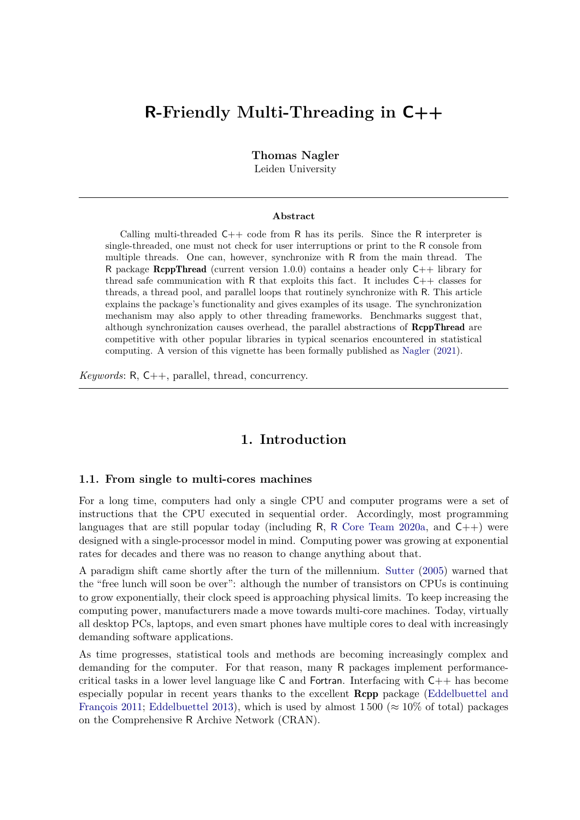# **R-Friendly Multi-Threading in C++**

**Thomas Nagler**

Leiden University

#### **Abstract**

Calling multi-threaded  $C_{++}$  code from R has its perils. Since the R interpreter is single-threaded, one must not check for user interruptions or print to the R console from multiple threads. One can, however, synchronize with R from the main thread. The R package **RcppThread** (current version 1.0.0) contains a header only  $C_{++}$  library for thread safe communication with R that exploits this fact. It includes C++ classes for threads, a thread pool, and parallel loops that routinely synchronize with R. This article explains the package's functionality and gives examples of its usage. The synchronization mechanism may also apply to other threading frameworks. Benchmarks suggest that, although synchronization causes overhead, the parallel abstractions of RcppThread are competitive with other popular libraries in typical scenarios encountered in statistical computing. A version of this vignette has been formally published as [Nagler](#page-17-0) [\(2021\)](#page-17-0).

*Keywords*: R, C++, parallel, thread, concurrency.

# **1. Introduction**

#### **1.1. From single to multi-cores machines**

For a long time, computers had only a single CPU and computer programs were a set of instructions that the CPU executed in sequential order. Accordingly, most programming languages that are still popular today (including  $R$ , R [Core Team 2020a,](#page-17-1) and  $C_{++}$ ) were designed with a single-processor model in mind. Computing power was growing at exponential rates for decades and there was no reason to change anything about that.

A paradigm shift came shortly after the turn of the millennium. [Sutter](#page-17-2) [\(2005\)](#page-17-2) warned that the "free lunch will soon be over": although the number of transistors on CPUs is continuing to grow exponentially, their clock speed is approaching physical limits. To keep increasing the computing power, manufacturers made a move towards multi-core machines. Today, virtually all desktop PCs, laptops, and even smart phones have multiple cores to deal with increasingly demanding software applications.

As time progresses, statistical tools and methods are becoming increasingly complex and demanding for the computer. For that reason, many R packages implement performancecritical tasks in a lower level language like  $C$  and Fortran. Interfacing with  $C++$  has become especially popular in recent years thanks to the excellent Rcpp package [\(Eddelbuettel and](#page-16-0) [François 2011;](#page-16-0) [Eddelbuettel 2013\)](#page-16-1), which is used by almost 1500 ( $\approx 10\%$  of total) packages on the Comprehensive R Archive Network (CRAN).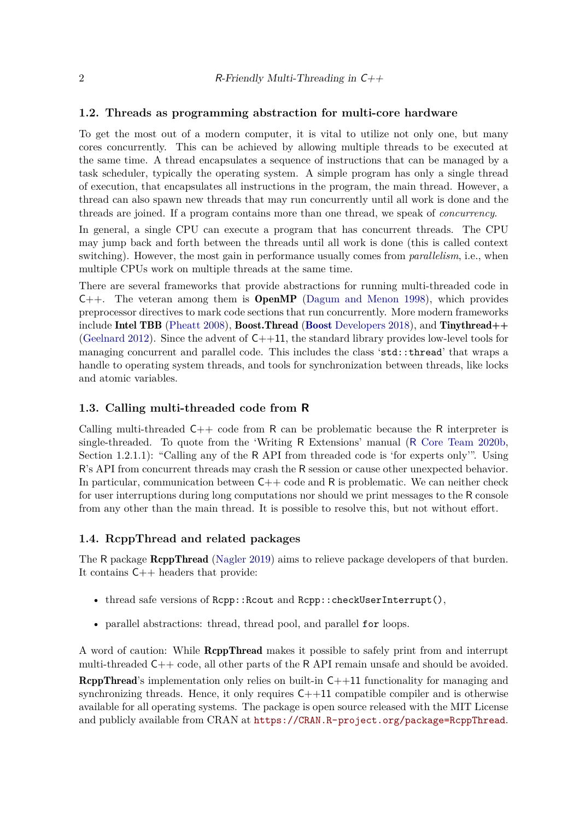#### **1.2. Threads as programming abstraction for multi-core hardware**

To get the most out of a modern computer, it is vital to utilize not only one, but many cores concurrently. This can be achieved by allowing multiple threads to be executed at the same time. A thread encapsulates a sequence of instructions that can be managed by a task scheduler, typically the operating system. A simple program has only a single thread of execution, that encapsulates all instructions in the program, the main thread. However, a thread can also spawn new threads that may run concurrently until all work is done and the threads are joined. If a program contains more than one thread, we speak of *concurrency*.

In general, a single CPU can execute a program that has concurrent threads. The CPU may jump back and forth between the threads until all work is done (this is called context switching). However, the most gain in performance usually comes from *parallelism*, i.e., when multiple CPUs work on multiple threads at the same time.

There are several frameworks that provide abstractions for running multi-threaded code in  $C_{++}$ . The veteran among them is **OpenMP** [\(Dagum and Menon 1998\)](#page-16-2), which provides preprocessor directives to mark code sections that run concurrently. More modern frameworks include Intel TBB [\(Pheatt 2008\)](#page-17-3), Boost.Thread (Boost [Developers 2018\)](#page-16-3), and Tinythread $++$ [\(Geelnard 2012\)](#page-16-4). Since the advent of  $C_{++11}$ , the standard library provides low-level tools for managing concurrent and parallel code. This includes the class 'std::thread' that wraps a handle to operating system threads, and tools for synchronization between threads, like locks and atomic variables.

#### **1.3. Calling multi-threaded code from R**

Calling multi-threaded C++ code from R can be problematic because the R interpreter is single-threaded. To quote from the 'Writing R Extensions' manual (R [Core Team 2020b,](#page-17-4) Section 1.2.1.1): "Calling any of the R API from threaded code is 'for experts only'". Using R's API from concurrent threads may crash the R session or cause other unexpected behavior. In particular, communication between  $C++$  code and R is problematic. We can neither check for user interruptions during long computations nor should we print messages to the R console from any other than the main thread. It is possible to resolve this, but not without effort.

#### **1.4. RcppThread and related packages**

The R package RcppThread [\(Nagler 2019\)](#page-17-5) aims to relieve package developers of that burden. It contains C++ headers that provide:

- thread safe versions of Rcpp:: Rcout and Rcpp:: checkUserInterrupt(),
- parallel abstractions: thread, thread pool, and parallel for loops.

A word of caution: While RcppThread makes it possible to safely print from and interrupt multi-threaded C++ code, all other parts of the R API remain unsafe and should be avoided.

**RcppThread's** implementation only relies on built-in  $C++11$  functionality for managing and synchronizing threads. Hence, it only requires  $C++11$  compatible compiler and is otherwise available for all operating systems. The package is open source released with the MIT License and publicly available from CRAN at <https://CRAN.R-project.org/package=RcppThread>.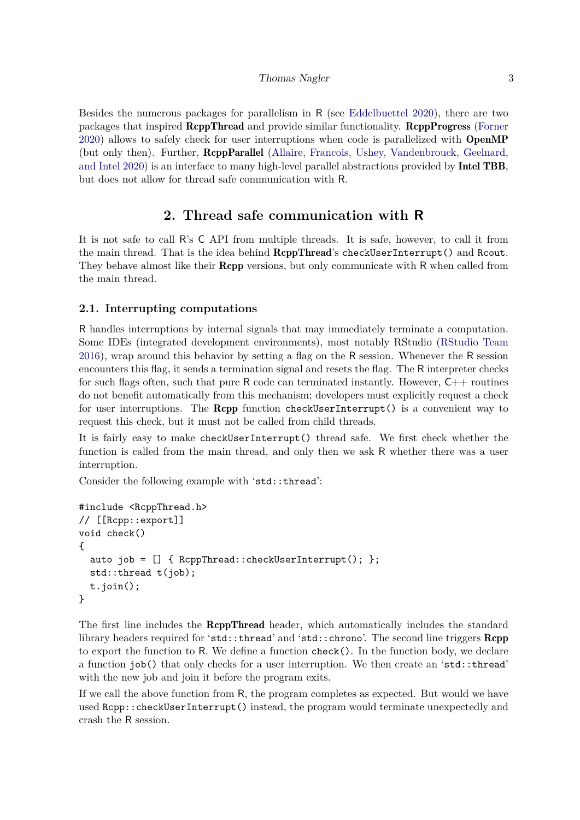Besides the numerous packages for parallelism in R (see [Eddelbuettel 2020\)](#page-16-5), there are two packages that inspired RcppThread and provide similar functionality. RcppProgress [\(Forner](#page-16-6) [2020\)](#page-16-6) allows to safely check for user interruptions when code is parallelized with OpenMP (but only then). Further, RcppParallel [\(Allaire, Francois, Ushey, Vandenbrouck, Geelnard,](#page-16-7) [and Intel 2020\)](#page-16-7) is an interface to many high-level parallel abstractions provided by Intel TBB, but does not allow for thread safe communication with R.

# **2. Thread safe communication with R**

It is not safe to call R's C API from multiple threads. It is safe, however, to call it from the main thread. That is the idea behind RcppThread's checkUserInterrupt() and Rcout. They behave almost like their **Rcpp** versions, but only communicate with R when called from the main thread.

# **2.1. Interrupting computations**

R handles interruptions by internal signals that may immediately terminate a computation. Some IDEs (integrated development environments), most notably RStudio [\(RStudio Team](#page-17-6) [2016\)](#page-17-6), wrap around this behavior by setting a flag on the R session. Whenever the R session encounters this flag, it sends a termination signal and resets the flag. The R interpreter checks for such flags often, such that pure R code can terminated instantly. However,  $C_{++}$  routines do not benefit automatically from this mechanism; developers must explicitly request a check for user interruptions. The Rcpp function checkUserInterrupt() is a convenient way to request this check, but it must not be called from child threads.

It is fairly easy to make checkUserInterrupt() thread safe. We first check whether the function is called from the main thread, and only then we ask R whether there was a user interruption.

Consider the following example with 'std::thread':

```
#include <RcppThread.h>
// [[Rcpp::export]]
void check()
{
 auto job = [] { RcppThread::checkUserInterrupt(); };
 std::thread t(job);
 t.join();
}
```
The first line includes the **RcppThread** header, which automatically includes the standard library headers required for 'std::thread' and 'std::chrono'. The second line triggers Rcpp to export the function to R. We define a function check(). In the function body, we declare a function job() that only checks for a user interruption. We then create an 'std::thread' with the new job and join it before the program exits.

If we call the above function from R, the program completes as expected. But would we have used Rcpp::checkUserInterrupt() instead, the program would terminate unexpectedly and crash the R session.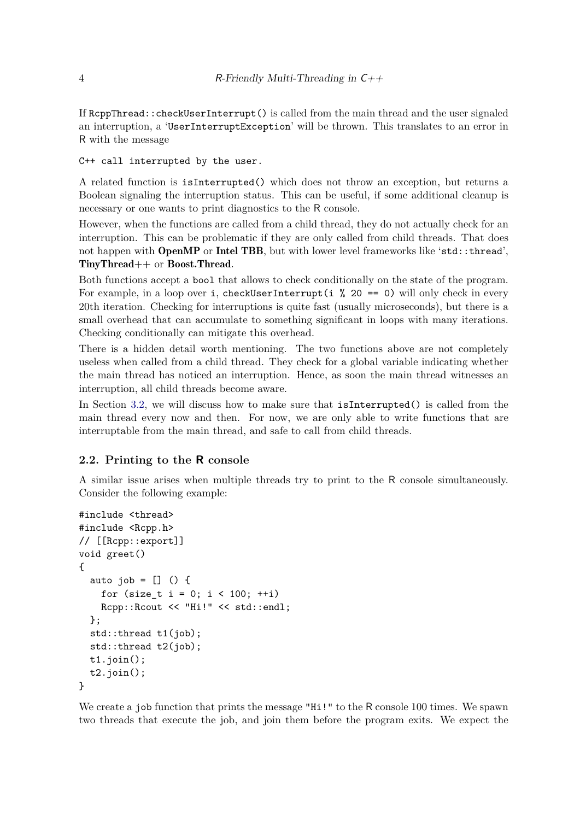If RcppThread::checkUserInterrupt() is called from the main thread and the user signaled an interruption, a 'UserInterruptException' will be thrown. This translates to an error in R with the message

C++ call interrupted by the user.

A related function is isInterrupted() which does not throw an exception, but returns a Boolean signaling the interruption status. This can be useful, if some additional cleanup is necessary or one wants to print diagnostics to the R console.

However, when the functions are called from a child thread, they do not actually check for an interruption. This can be problematic if they are only called from child threads. That does not happen with **OpenMP** or **Intel TBB**, but with lower level frameworks like 'std::thread', TinyThread++ or Boost.Thread.

Both functions accept a bool that allows to check conditionally on the state of the program. For example, in a loop over i, checkUserInterrupt(i  $\%$  20 == 0) will only check in every 20th iteration. Checking for interruptions is quite fast (usually microseconds), but there is a small overhead that can accumulate to something significant in loops with many iterations. Checking conditionally can mitigate this overhead.

There is a hidden detail worth mentioning. The two functions above are not completely useless when called from a child thread. They check for a global variable indicating whether the main thread has noticed an interruption. Hence, as soon the main thread witnesses an interruption, all child threads become aware.

In Section [3.2,](#page-6-0) we will discuss how to make sure that isInterrupted() is called from the main thread every now and then. For now, we are only able to write functions that are interruptable from the main thread, and safe to call from child threads.

#### **2.2. Printing to the R console**

A similar issue arises when multiple threads try to print to the R console simultaneously. Consider the following example:

```
#include <thread>
#include <Rcpp.h>
// [[Rcpp::export]]
void greet()
{
 auto job = [] () {
   for (size_t i = 0; i < 100; ++i)Rcpp::Rcout << "Hi!" << std::endl;
 };
 std::thread t1(job);
 std::thread t2(job);
 t1.join();
 t2.join();
}
```
We create a job function that prints the message "Hi!" to the R console 100 times. We spawn two threads that execute the job, and join them before the program exits. We expect the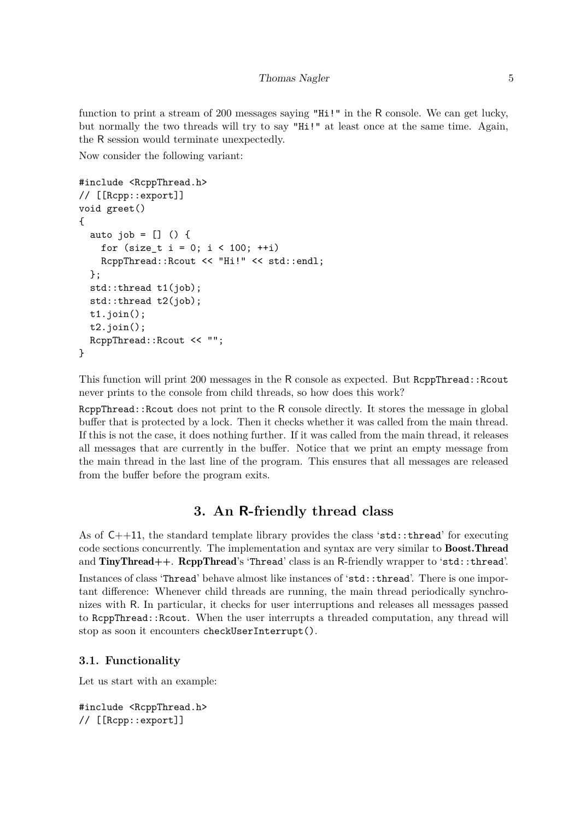function to print a stream of 200 messages saying "Hi!" in the R console. We can get lucky, but normally the two threads will try to say "Hi!" at least once at the same time. Again, the R session would terminate unexpectedly.

Now consider the following variant:

```
#include <RcppThread.h>
// [[Rcpp::export]]
void greet()
{
  auto job = [] () {
    for (size_t i = 0; i < 100; ++i)RcppThread::Rcout << "Hi!" << std::endl;
  };
  std::thread t1(job);
  std::thread t2(job);
  t1.join();
  t2.join();
  RcppThread::Rcout << "";
}
```
This function will print 200 messages in the R console as expected. But RcppThread::Rcout never prints to the console from child threads, so how does this work?

ReppThread::Rcout does not print to the R console directly. It stores the message in global buffer that is protected by a lock. Then it checks whether it was called from the main thread. If this is not the case, it does nothing further. If it was called from the main thread, it releases all messages that are currently in the buffer. Notice that we print an empty message from the main thread in the last line of the program. This ensures that all messages are released from the buffer before the program exits.

# **3. An R-friendly thread class**

As of  $C++11$ , the standard template library provides the class 'std::thread' for executing code sections concurrently. The implementation and syntax are very similar to Boost.Thread and TinyThread++. RcppThread's 'Thread' class is an R-friendly wrapper to 'std::thread'. Instances of class 'Thread' behave almost like instances of 'std::thread'. There is one important difference: Whenever child threads are running, the main thread periodically synchronizes with R. In particular, it checks for user interruptions and releases all messages passed to RcppThread::Rcout. When the user interrupts a threaded computation, any thread will stop as soon it encounters checkUserInterrupt().

# **3.1. Functionality**

Let us start with an example:

```
#include <RcppThread.h>
// [[Rcpp::export]]
```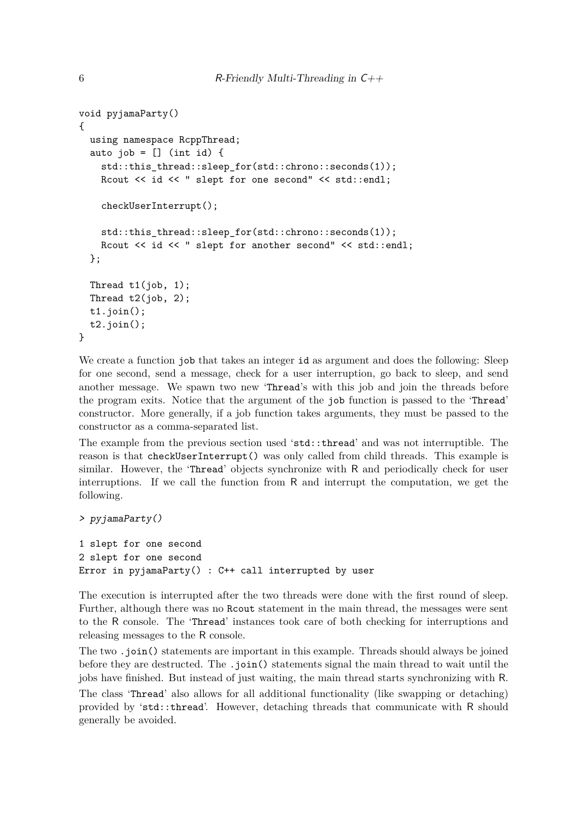```
void pyjamaParty()
{
  using namespace RcppThread;
  auto job = [] (int id) {
    std::this thread::sleep for(std::chrono::seconds(1));
    Rcout << id << " slept for one second" << std::endl;
    checkUserInterrupt();
    std::this thread::sleep for(std::chrono::seconds(1));
    Rcout << id << " slept for another second" << std::endl;
  };
  Thread t1(job, 1);
  Thread t2(job, 2);
  t1.join();
  t2.join();
}
```
We create a function job that takes an integer id as argument and does the following: Sleep for one second, send a message, check for a user interruption, go back to sleep, and send another message. We spawn two new 'Thread's with this job and join the threads before the program exits. Notice that the argument of the job function is passed to the 'Thread' constructor. More generally, if a job function takes arguments, they must be passed to the constructor as a comma-separated list.

The example from the previous section used 'std::thread' and was not interruptible. The reason is that checkUserInterrupt() was only called from child threads. This example is similar. However, the 'Thread' objects synchronize with R and periodically check for user interruptions. If we call the function from R and interrupt the computation, we get the following.

```
> pyjamaParty()
```

```
1 slept for one second
2 slept for one second
Error in pyjamaParty() : C++ call interrupted by user
```
The execution is interrupted after the two threads were done with the first round of sleep. Further, although there was no Rcout statement in the main thread, the messages were sent to the R console. The 'Thread' instances took care of both checking for interruptions and releasing messages to the R console.

The two .join() statements are important in this example. Threads should always be joined before they are destructed. The .join() statements signal the main thread to wait until the jobs have finished. But instead of just waiting, the main thread starts synchronizing with R.

The class 'Thread' also allows for all additional functionality (like swapping or detaching) provided by 'std::thread'. However, detaching threads that communicate with R should generally be avoided.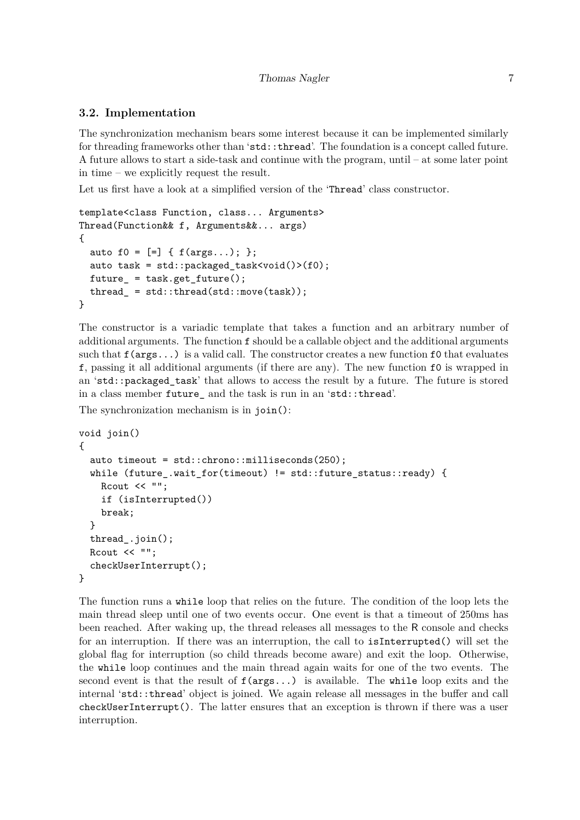## <span id="page-6-0"></span>**3.2. Implementation**

The synchronization mechanism bears some interest because it can be implemented similarly for threading frameworks other than 'std::thread'. The foundation is a concept called future. A future allows to start a side-task and continue with the program, until – at some later point in time – we explicitly request the result.

Let us first have a look at a simplified version of the 'Thread' class constructor.

```
template<class Function, class... Arguments>
Thread(Function&& f, Arguments&&... args)
{
  auto f0 = [-] \{ f(args...); \};
  auto task = std::packaged_task<void()>(f0);
  future_ = task.get_future();
  thread_ = std::thread(std::move(task));
}
```
The constructor is a variadic template that takes a function and an arbitrary number of additional arguments. The function f should be a callable object and the additional arguments such that  $f(\text{args}...)$  is a valid call. The constructor creates a new function  $f_0$  that evaluates f, passing it all additional arguments (if there are any). The new function f0 is wrapped in an 'std::packaged\_task' that allows to access the result by a future. The future is stored in a class member future\_ and the task is run in an 'std::thread'.

The synchronization mechanism is in join():

```
void join()
{
 auto timeout = std::chrono::milliseconds(250);
 while (future_.wait_for(timeout) != std::future_status::ready) {
   Rcout << "";
   if (isInterrupted())
   break;
 }
 thread_.join();
 Rcout << "";
  checkUserInterrupt();
}
```
The function runs a while loop that relies on the future. The condition of the loop lets the main thread sleep until one of two events occur. One event is that a timeout of 250ms has been reached. After waking up, the thread releases all messages to the R console and checks for an interruption. If there was an interruption, the call to isInterrupted() will set the global flag for interruption (so child threads become aware) and exit the loop. Otherwise, the while loop continues and the main thread again waits for one of the two events. The second event is that the result of  $f(\arg s \ldots)$  is available. The while loop exits and the internal 'std::thread' object is joined. We again release all messages in the buffer and call checkUserInterrupt(). The latter ensures that an exception is thrown if there was a user interruption.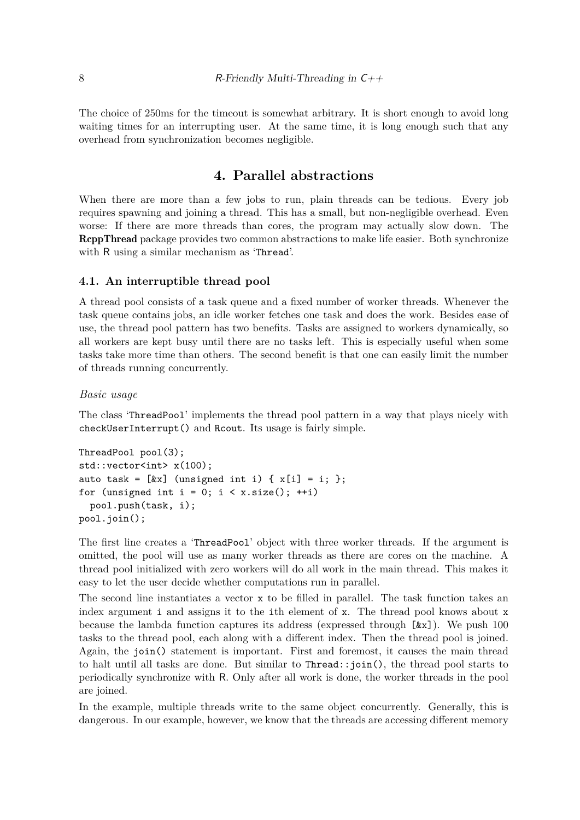The choice of 250ms for the timeout is somewhat arbitrary. It is short enough to avoid long waiting times for an interrupting user. At the same time, it is long enough such that any overhead from synchronization becomes negligible.

# **4. Parallel abstractions**

When there are more than a few jobs to run, plain threads can be tedious. Every job requires spawning and joining a thread. This has a small, but non-negligible overhead. Even worse: If there are more threads than cores, the program may actually slow down. The RcppThread package provides two common abstractions to make life easier. Both synchronize with R using a similar mechanism as 'Thread'.

## **4.1. An interruptible thread pool**

A thread pool consists of a task queue and a fixed number of worker threads. Whenever the task queue contains jobs, an idle worker fetches one task and does the work. Besides ease of use, the thread pool pattern has two benefits. Tasks are assigned to workers dynamically, so all workers are kept busy until there are no tasks left. This is especially useful when some tasks take more time than others. The second benefit is that one can easily limit the number of threads running concurrently.

### *Basic usage*

The class 'ThreadPool' implements the thread pool pattern in a way that plays nicely with checkUserInterrupt() and Rcout. Its usage is fairly simple.

```
ThreadPool pool(3);
std::vector<int> x(100);
auto task = [kx] (unsigned int i) { x[i] = i; };
for (unsigned int i = 0; i \lt x.size(); ++i)pool.push(task, i);
pool.join();
```
The first line creates a 'ThreadPool' object with three worker threads. If the argument is omitted, the pool will use as many worker threads as there are cores on the machine. A thread pool initialized with zero workers will do all work in the main thread. This makes it easy to let the user decide whether computations run in parallel.

The second line instantiates a vector x to be filled in parallel. The task function takes an index argument i and assigns it to the ith element of x. The thread pool knows about x because the lambda function captures its address (expressed through  $[\&x]$ ). We push 100 tasks to the thread pool, each along with a different index. Then the thread pool is joined. Again, the join() statement is important. First and foremost, it causes the main thread to halt until all tasks are done. But similar to Thread::join(), the thread pool starts to periodically synchronize with R. Only after all work is done, the worker threads in the pool are joined.

In the example, multiple threads write to the same object concurrently. Generally, this is dangerous. In our example, however, we know that the threads are accessing different memory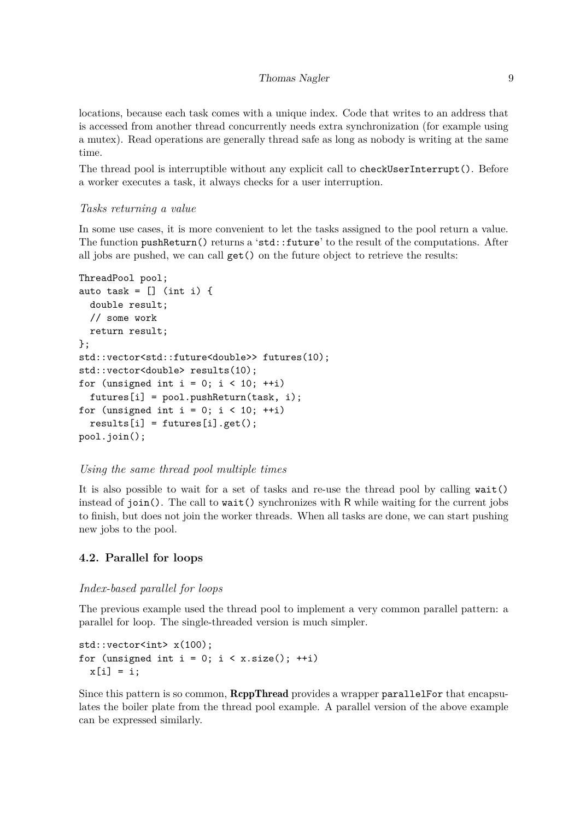locations, because each task comes with a unique index. Code that writes to an address that is accessed from another thread concurrently needs extra synchronization (for example using a mutex). Read operations are generally thread safe as long as nobody is writing at the same time.

The thread pool is interruptible without any explicit call to checkUserInterrupt(). Before a worker executes a task, it always checks for a user interruption.

### *Tasks returning a value*

In some use cases, it is more convenient to let the tasks assigned to the pool return a value. The function pushReturn() returns a 'std::future' to the result of the computations. After all jobs are pushed, we can call  $get()$  on the future object to retrieve the results:

```
ThreadPool pool;
auto task = [] (int i) {
  double result;
  // some work
  return result;
};
std::vector<std::future<double>> futures(10);
std::vector<double> results(10);
for (unsigned int i = 0; i < 10; ++i)
  futures[i] = pool.pushReturn(task, i);
for (unsigned int i = 0; i < 10; ++i)
  results[i] = futures[i].get();pool.join();
```
#### *Using the same thread pool multiple times*

It is also possible to wait for a set of tasks and re-use the thread pool by calling wait() instead of  $\pi$  join(). The call to wait() synchronizes with R while waiting for the current jobs to finish, but does not join the worker threads. When all tasks are done, we can start pushing new jobs to the pool.

## **4.2. Parallel for loops**

#### *Index-based parallel for loops*

The previous example used the thread pool to implement a very common parallel pattern: a parallel for loop. The single-threaded version is much simpler.

```
std::vector<int> x(100);
for (unsigned int i = 0; i \lt x.size(); ++i)x[i] = i;
```
Since this pattern is so common, **ReppThread** provides a wrapper parallelFor that encapsulates the boiler plate from the thread pool example. A parallel version of the above example can be expressed similarly.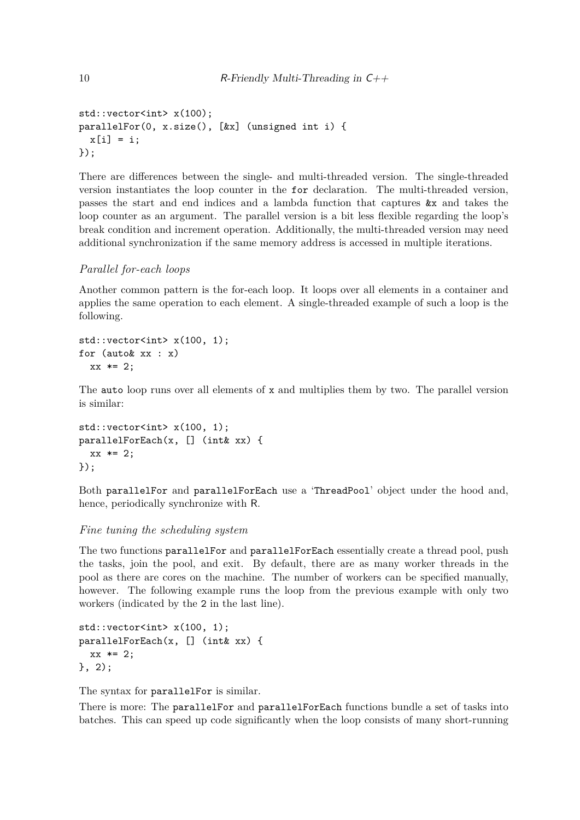```
std::vector<int> x(100);
parallelFor(0, x.size(), [&x] (unsigned int i) {
  x[i] = i;});
```
There are differences between the single- and multi-threaded version. The single-threaded version instantiates the loop counter in the for declaration. The multi-threaded version, passes the start and end indices and a lambda function that captures &x and takes the loop counter as an argument. The parallel version is a bit less flexible regarding the loop's break condition and increment operation. Additionally, the multi-threaded version may need additional synchronization if the same memory address is accessed in multiple iterations.

### *Parallel for-each loops*

Another common pattern is the for-each loop. It loops over all elements in a container and applies the same operation to each element. A single-threaded example of such a loop is the following.

```
std::vector<int> x(100, 1);
for (auto& xx : x)
  xx * = 2:
```
The auto loop runs over all elements of x and multiplies them by two. The parallel version is similar:

```
std::vector<int> x(100, 1);
parallelForEach(x, [] (int& xx) {
  xx * = 2;});
```
Both parallelFor and parallelForEach use a 'ThreadPool' object under the hood and, hence, periodically synchronize with R.

#### *Fine tuning the scheduling system*

The two functions parallelFor and parallelForEach essentially create a thread pool, push the tasks, join the pool, and exit. By default, there are as many worker threads in the pool as there are cores on the machine. The number of workers can be specified manually, however. The following example runs the loop from the previous example with only two workers (indicated by the 2 in the last line).

```
std::vector<int> x(100, 1);
parallelForEach(x, [] (int& xx) {
  xx * = 2;}, 2);
```
The syntax for parallelFor is similar.

There is more: The parallelFor and parallelForEach functions bundle a set of tasks into batches. This can speed up code significantly when the loop consists of many short-running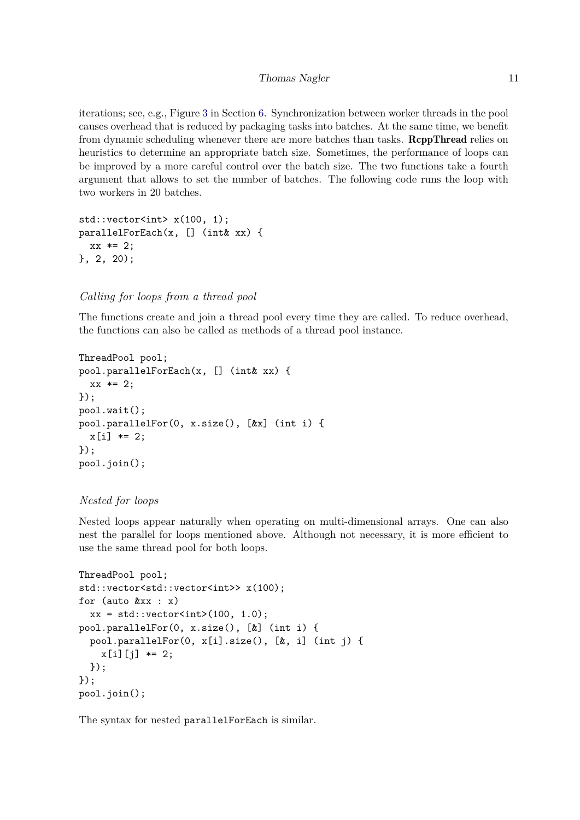iterations; see, e.g., Figure [3](#page-14-0) in Section [6.](#page-12-0) Synchronization between worker threads in the pool causes overhead that is reduced by packaging tasks into batches. At the same time, we benefit from dynamic scheduling whenever there are more batches than tasks. **ReppThread** relies on heuristics to determine an appropriate batch size. Sometimes, the performance of loops can be improved by a more careful control over the batch size. The two functions take a fourth argument that allows to set the number of batches. The following code runs the loop with two workers in 20 batches.

```
std::vector<int> x(100, 1);
parallelForEach(x, [] (int& xx) {
  xx * = 2;}, 2, 20);
```
## *Calling for loops from a thread pool*

The functions create and join a thread pool every time they are called. To reduce overhead, the functions can also be called as methods of a thread pool instance.

```
ThreadPool pool;
pool.parallelForEach(x, [] (int& xx) {
  xx * = 2;});
pool.wait();
pool.parallelFor(0, x.size(), [&x] (int i) {
  x[i] *= 2;
});
pool.join();
```
#### *Nested for loops*

Nested loops appear naturally when operating on multi-dimensional arrays. One can also nest the parallel for loops mentioned above. Although not necessary, it is more efficient to use the same thread pool for both loops.

```
ThreadPool pool;
std::vector<std::vector<int>> x(100);
for (auto &xx : x)
  xx = std::vector<int>(100, 1.0);pool.parallelFor(0, x.size(), [&] (int i) {
  pool.parallelFor(0, x[i].size(), [&, i] (int j) {
    x[i][j] *= 2;
  });
});
pool.join();
```
The syntax for nested parallelForEach is similar.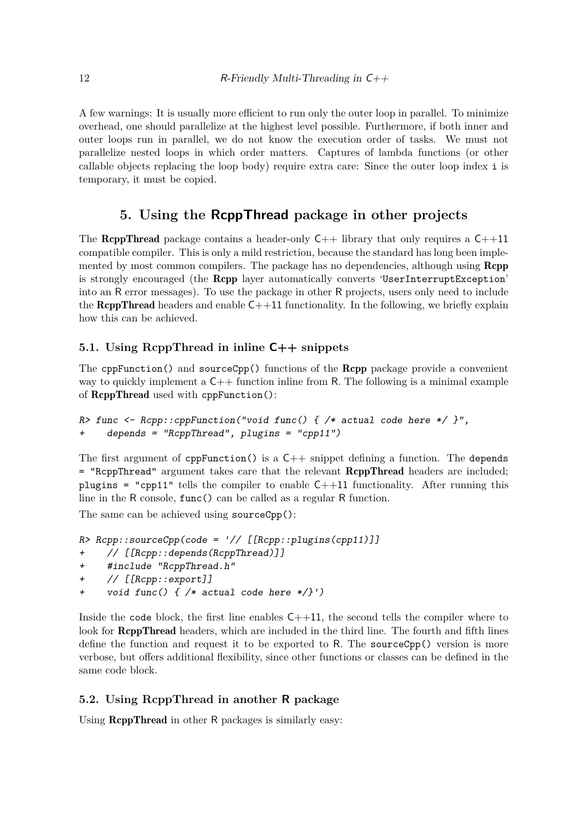A few warnings: It is usually more efficient to run only the outer loop in parallel. To minimize overhead, one should parallelize at the highest level possible. Furthermore, if both inner and outer loops run in parallel, we do not know the execution order of tasks. We must not parallelize nested loops in which order matters. Captures of lambda functions (or other callable objects replacing the loop body) require extra care: Since the outer loop index i is temporary, it must be copied.

# **5. Using the RcppThread package in other projects**

The **RcppThread** package contains a header-only  $C++$  library that only requires a  $C++11$ compatible compiler. This is only a mild restriction, because the standard has long been implemented by most common compilers. The package has no dependencies, although using **Rcpp** is strongly encouraged (the Rcpp layer automatically converts 'UserInterruptException' into an R error messages). To use the package in other R projects, users only need to include the **RcppThread** headers and enable  $C++11$  functionality. In the following, we briefly explain how this can be achieved.

# **5.1. Using RcppThread in inline C++ snippets**

The confunction() and sourceCpp() functions of the **Rcpp** package provide a convenient way to quickly implement a  $C_{++}$  function inline from R. The following is a minimal example of RcppThread used with cppFunction():

```
R> func <- Rcpp::cppFunction("void func() { /* actual code here */ }",
+ depends = "RcppThread", plugins = "cpp11")
```
The first argument of  $cppFunction()$  is a  $C++$  snippet defining a function. The depends = "RcppThread" argument takes care that the relevant RcppThread headers are included; plugins = "cpp11" tells the compiler to enable  $C++11$  functionality. After running this line in the R console, func() can be called as a regular R function.

The same can be achieved using sourceCpp():

```
R> Rcpp::sourceCpp(code = '// [[Rcpp::plugins(cpp11)]]
+ // [[Rcpp::depends(RcppThread)]]
+ #include "RcppThread.h"
+ // [[Rcpp::export]]
+ void func() { /* actual code here */}')
```
Inside the code block, the first line enables  $C++11$ , the second tells the compiler where to look for **ReppThread** headers, which are included in the third line. The fourth and fifth lines define the function and request it to be exported to R. The sourceCpp() version is more verbose, but offers additional flexibility, since other functions or classes can be defined in the same code block.

# **5.2. Using RcppThread in another R package**

Using RcppThread in other R packages is similarly easy: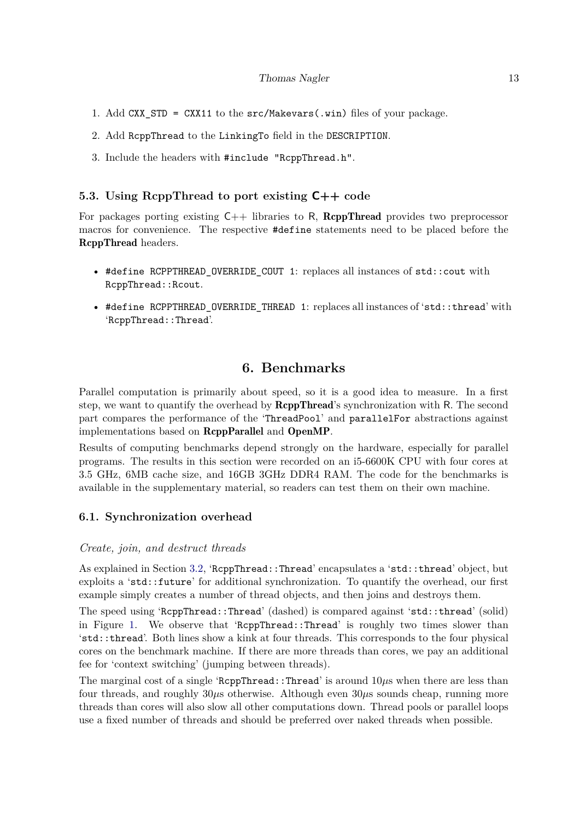- 1. Add CXX\_STD = CXX11 to the src/Makevars(.win) files of your package.
- 2. Add RcppThread to the LinkingTo field in the DESCRIPTION.
- 3. Include the headers with #include "RcppThread.h".

## **5.3. Using RcppThread to port existing C++ code**

For packages porting existing  $C_{++}$  libraries to R, ReppThread provides two preprocessor macros for convenience. The respective #define statements need to be placed before the RcppThread headers.

- #define RCPPTHREAD\_OVERRIDE\_COUT 1: replaces all instances of std::cout with RcppThread::Rcout.
- #define RCPPTHREAD\_OVERRIDE\_THREAD 1: replaces all instances of 'std::thread' with 'RcppThread::Thread'.

# **6. Benchmarks**

<span id="page-12-0"></span>Parallel computation is primarily about speed, so it is a good idea to measure. In a first step, we want to quantify the overhead by RcppThread's synchronization with R. The second part compares the performance of the 'ThreadPool' and parallelFor abstractions against implementations based on RcppParallel and OpenMP.

Results of computing benchmarks depend strongly on the hardware, especially for parallel programs. The results in this section were recorded on an i5-6600K CPU with four cores at 3.5 GHz, 6MB cache size, and 16GB 3GHz DDR4 RAM. The code for the benchmarks is available in the supplementary material, so readers can test them on their own machine.

## **6.1. Synchronization overhead**

#### *Create, join, and destruct threads*

As explained in Section [3.2,](#page-6-0) 'RcppThread::Thread' encapsulates a 'std::thread' object, but exploits a 'std::future' for additional synchronization. To quantify the overhead, our first example simply creates a number of thread objects, and then joins and destroys them.

The speed using 'RcppThread::Thread' (dashed) is compared against 'std::thread' (solid) in Figure [1.](#page-13-0) We observe that 'RcppThread::Thread' is roughly two times slower than 'std::thread'. Both lines show a kink at four threads. This corresponds to the four physical cores on the benchmark machine. If there are more threads than cores, we pay an additional fee for 'context switching' (jumping between threads).

The marginal cost of a single 'RcppThread::Thread' is around  $10\mu s$  when there are less than four threads, and roughly  $30\mu s$  otherwise. Although even  $30\mu s$  sounds cheap, running more threads than cores will also slow all other computations down. Thread pools or parallel loops use a fixed number of threads and should be preferred over naked threads when possible.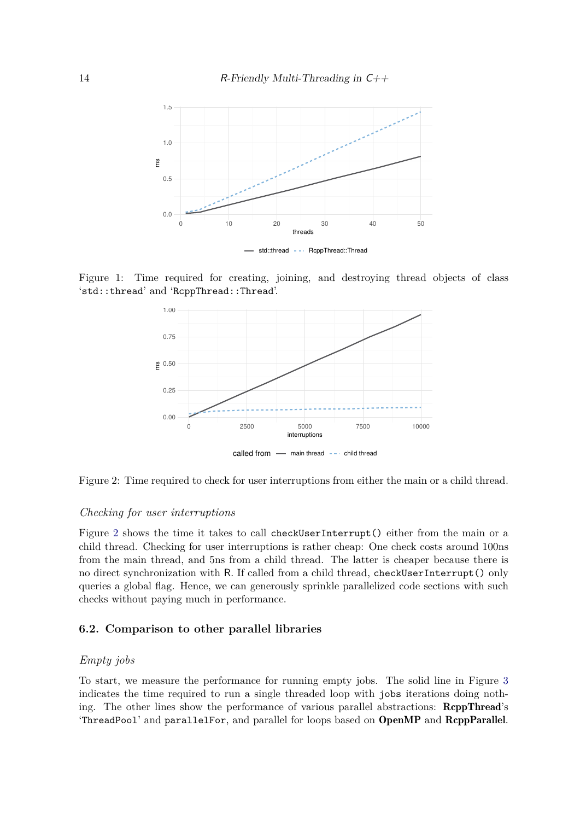

Figure 1: Time required for creating, joining, and destroying thread objects of class 'std::thread' and 'RcppThread::Thread'.

<span id="page-13-0"></span>

<span id="page-13-1"></span>Figure 2: Time required to check for user interruptions from either the main or a child thread.

#### *Checking for user interruptions*

Figure [2](#page-13-1) shows the time it takes to call checkUserInterrupt() either from the main or a child thread. Checking for user interruptions is rather cheap: One check costs around 100ns from the main thread, and 5ns from a child thread. The latter is cheaper because there is no direct synchronization with R. If called from a child thread, checkUserInterrupt() only queries a global flag. Hence, we can generously sprinkle parallelized code sections with such checks without paying much in performance.

### **6.2. Comparison to other parallel libraries**

## *Empty jobs*

To start, we measure the performance for running empty jobs. The solid line in Figure [3](#page-14-0) indicates the time required to run a single threaded loop with jobs iterations doing nothing. The other lines show the performance of various parallel abstractions: RcppThread's 'ThreadPool' and parallelFor, and parallel for loops based on OpenMP and RcppParallel.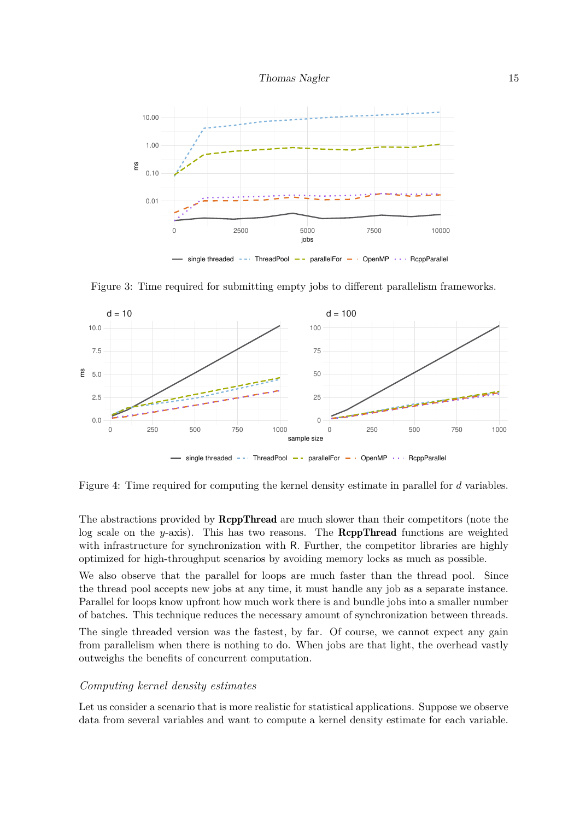



<span id="page-14-0"></span>Figure 3: Time required for submitting empty jobs to different parallelism frameworks.



<span id="page-14-1"></span>Figure 4: Time required for computing the kernel density estimate in parallel for *d* variables.

The abstractions provided by **ReppThread** are much slower than their competitors (note the log scale on the *y*-axis). This has two reasons. The **ReppThread** functions are weighted with infrastructure for synchronization with R. Further, the competitor libraries are highly optimized for high-throughput scenarios by avoiding memory locks as much as possible.

We also observe that the parallel for loops are much faster than the thread pool. Since the thread pool accepts new jobs at any time, it must handle any job as a separate instance. Parallel for loops know upfront how much work there is and bundle jobs into a smaller number of batches. This technique reduces the necessary amount of synchronization between threads.

The single threaded version was the fastest, by far. Of course, we cannot expect any gain from parallelism when there is nothing to do. When jobs are that light, the overhead vastly outweighs the benefits of concurrent computation.

### *Computing kernel density estimates*

Let us consider a scenario that is more realistic for statistical applications. Suppose we observe data from several variables and want to compute a kernel density estimate for each variable.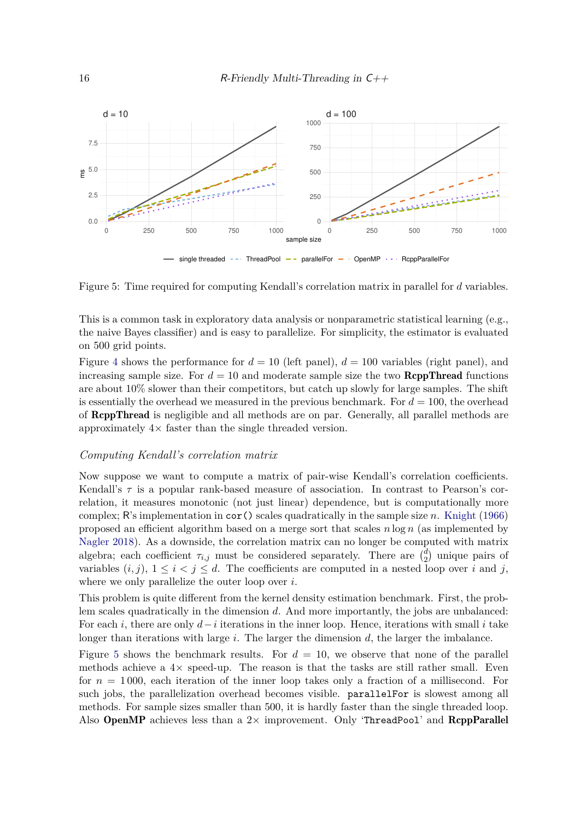

<span id="page-15-0"></span>Figure 5: Time required for computing Kendall's correlation matrix in parallel for *d* variables.

This is a common task in exploratory data analysis or nonparametric statistical learning (e.g., the naive Bayes classifier) and is easy to parallelize. For simplicity, the estimator is evaluated on 500 grid points.

Figure [4](#page-14-1) shows the performance for  $d = 10$  (left panel),  $d = 100$  variables (right panel), and increasing sample size. For  $d = 10$  and moderate sample size the two **RcppThread** functions are about  $10\%$  slower than their competitors, but catch up slowly for large samples. The shift is essentially the overhead we measured in the previous benchmark. For  $d = 100$ , the overhead of RcppThread is negligible and all methods are on par. Generally, all parallel methods are approximately  $4\times$  faster than the single threaded version.

#### *Computing Kendall's correlation matrix*

Now suppose we want to compute a matrix of pair-wise Kendall's correlation coefficients. Kendall's  $\tau$  is a popular rank-based measure of association. In contrast to Pearson's correlation, it measures monotonic (not just linear) dependence, but is computationally more complex; R's implementation in cor() scales quadratically in the sample size *n*. [Knight](#page-16-8) [\(1966\)](#page-16-8) proposed an efficient algorithm based on a merge sort that scales *n* log *n* (as implemented by [Nagler 2018\)](#page-17-7). As a downside, the correlation matrix can no longer be computed with matrix algebra; each coefficient  $\tau_{i,j}$  must be considered separately. There are  $\binom{d}{2}$  unique pairs of variables  $(i, j)$ ,  $1 \leq i < j \leq d$ . The coefficients are computed in a nested loop over *i* and *j*, where we only parallelize the outer loop over *i*.

This problem is quite different from the kernel density estimation benchmark. First, the problem scales quadratically in the dimension *d*. And more importantly, the jobs are unbalanced: For each *i*, there are only *d*−*i* iterations in the inner loop. Hence, iterations with small *i* take longer than iterations with large *i*. The larger the dimension *d*, the larger the imbalance.

Figure [5](#page-15-0) shows the benchmark results. For  $d = 10$ , we observe that none of the parallel methods achieve a  $4\times$  speed-up. The reason is that the tasks are still rather small. Even for  $n = 1000$ , each iteration of the inner loop takes only a fraction of a millisecond. For such jobs, the parallelization overhead becomes visible. parallelFor is slowest among all methods. For sample sizes smaller than 500, it is hardly faster than the single threaded loop. Also OpenMP achieves less than a  $2\times$  improvement. Only 'ThreadPool' and RcppParallel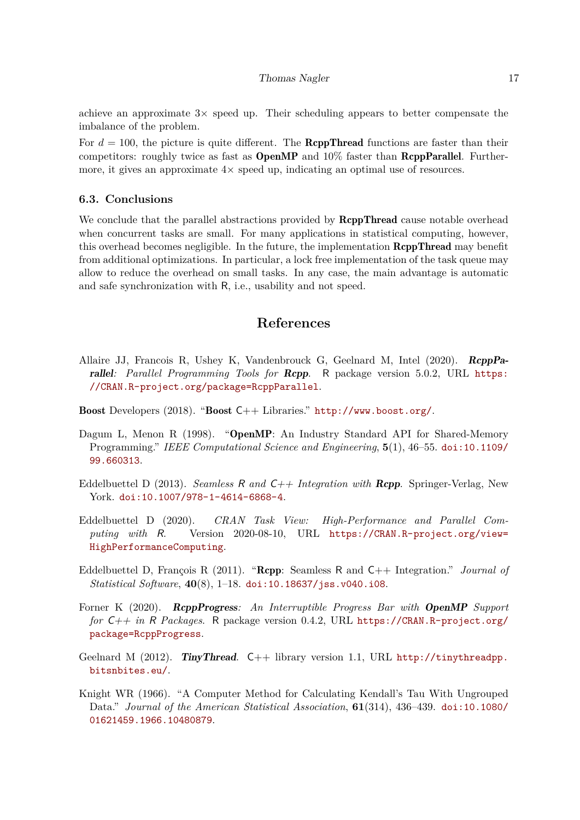#### Thomas Nagler 17

achieve an approximate  $3\times$  speed up. Their scheduling appears to better compensate the imbalance of the problem.

For  $d = 100$ , the picture is quite different. The **RcppThread** functions are faster than their competitors: roughly twice as fast as  $OpenMP$  and  $10\%$  faster than  $RcppParallel$ . Furthermore, it gives an approximate  $4\times$  speed up, indicating an optimal use of resources.

#### **6.3. Conclusions**

We conclude that the parallel abstractions provided by **ReppThread** cause notable overhead when concurrent tasks are small. For many applications in statistical computing, however, this overhead becomes negligible. In the future, the implementation **RcppThread** may benefit from additional optimizations. In particular, a lock free implementation of the task queue may allow to reduce the overhead on small tasks. In any case, the main advantage is automatic and safe synchronization with R, i.e., usability and not speed.

# **References**

- <span id="page-16-7"></span>Allaire JJ, Francois R, Ushey K, Vandenbrouck G, Geelnard M, Intel (2020). RcppParallel: Parallel Programming Tools for **Rcpp**. R package version 5.0.2, URL [https:](https://CRAN.R-project.org/package=RcppParallel) [//CRAN.R-project.org/package=RcppParallel](https://CRAN.R-project.org/package=RcppParallel).
- <span id="page-16-3"></span>Boost Developers (2018). "Boost C++ Libraries." <http://www.boost.org/>.
- <span id="page-16-2"></span>Dagum L, Menon R (1998). "OpenMP: An Industry Standard API for Shared-Memory Programming." *IEEE Computational Science and Engineering*, **5**(1), 46–55. [doi:10.1109/](http://dx.doi.org/10.1109/99.660313) [99.660313](http://dx.doi.org/10.1109/99.660313).
- <span id="page-16-1"></span>Eddelbuettel D (2013). *Seamless* R *and* C++ *Integration with* Rcpp. Springer-Verlag, New York. [doi:10.1007/978-1-4614-6868-4](http://dx.doi.org/10.1007/978-1-4614-6868-4).
- <span id="page-16-5"></span>Eddelbuettel D (2020). *CRAN Task View: High-Performance and Parallel Computing with* R. Version 2020-08-10, URL [https://CRAN.R-project.org/view=](https://CRAN.R-project.org/view=HighPerformanceComputing) [HighPerformanceComputing](https://CRAN.R-project.org/view=HighPerformanceComputing).
- <span id="page-16-0"></span>Eddelbuettel D, François R (2011). "Rcpp: Seamless R and C++ Integration." *Journal of Statistical Software*, **40**(8), 1–18. [doi:10.18637/jss.v040.i08](http://dx.doi.org/10.18637/jss.v040.i08).
- <span id="page-16-6"></span>Forner K (2020). RcppProgress*: An Interruptible Progress Bar with* OpenMP *Support for* C++ *in* R *Packages*. R package version 0.4.2, URL [https://CRAN.R-project.org/](https://CRAN.R-project.org/package=RcppProgress) [package=RcppProgress](https://CRAN.R-project.org/package=RcppProgress).
- <span id="page-16-4"></span>Geelnard M (2012). TinyThread.  $C++$  library version 1.1, URL [http://tinythreadpp.](http://tinythreadpp.bitsnbites.eu/) [bitsnbites.eu/](http://tinythreadpp.bitsnbites.eu/).
- <span id="page-16-8"></span>Knight WR (1966). "A Computer Method for Calculating Kendall's Tau With Ungrouped Data." *Journal of the American Statistical Association*, **61**(314), 436–439. [doi:10.1080/](http://dx.doi.org/10.1080/01621459.1966.10480879) [01621459.1966.10480879](http://dx.doi.org/10.1080/01621459.1966.10480879).